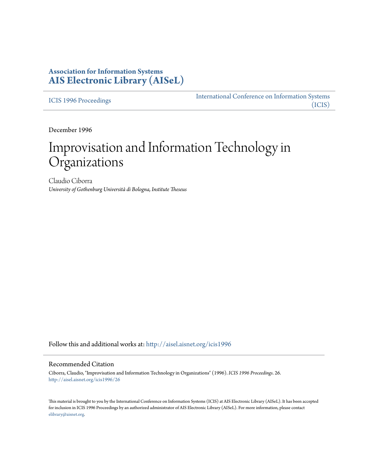# **Association for Information Systems [AIS Electronic Library \(AISeL\)](http://aisel.aisnet.org?utm_source=aisel.aisnet.org%2Ficis1996%2F26&utm_medium=PDF&utm_campaign=PDFCoverPages)**

[ICIS 1996 Proceedings](http://aisel.aisnet.org/icis1996?utm_source=aisel.aisnet.org%2Ficis1996%2F26&utm_medium=PDF&utm_campaign=PDFCoverPages)

[International Conference on Information Systems](http://aisel.aisnet.org/icis?utm_source=aisel.aisnet.org%2Ficis1996%2F26&utm_medium=PDF&utm_campaign=PDFCoverPages) [\(ICIS\)](http://aisel.aisnet.org/icis?utm_source=aisel.aisnet.org%2Ficis1996%2F26&utm_medium=PDF&utm_campaign=PDFCoverPages)

December 1996

# Improvisation and Information Technology in Organizations

Claudio Ciborra *University of Gothenburg Università di Bologna, Institute Theseus*

Follow this and additional works at: [http://aisel.aisnet.org/icis1996](http://aisel.aisnet.org/icis1996?utm_source=aisel.aisnet.org%2Ficis1996%2F26&utm_medium=PDF&utm_campaign=PDFCoverPages)

#### Recommended Citation

Ciborra, Claudio, "Improvisation and Information Technology in Organizations" (1996). *ICIS 1996 Proceedings*. 26. [http://aisel.aisnet.org/icis1996/26](http://aisel.aisnet.org/icis1996/26?utm_source=aisel.aisnet.org%2Ficis1996%2F26&utm_medium=PDF&utm_campaign=PDFCoverPages)

This material is brought to you by the International Conference on Information Systems (ICIS) at AIS Electronic Library (AISeL). It has been accepted for inclusion in ICIS 1996 Proceedings by an authorized administrator of AIS Electronic Library (AISeL). For more information, please contact [elibrary@aisnet.org.](mailto:elibrary@aisnet.org%3E)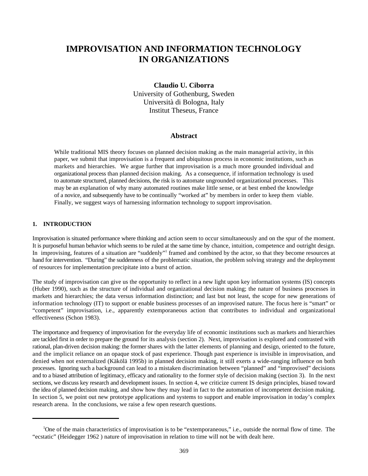# **IMPROVISATION AND INFORMATION TECHNOLOGY IN ORGANIZATIONS**

**Claudio U. Ciborra** University of Gothenburg, Sweden Università di Bologna, Italy Institut Theseus, France

# **Abstract**

While traditional MIS theory focuses on planned decision making as the main managerial activity, in this paper, we submit that improvisation is a frequent and ubiquitous process in economic institutions, such as markets and hierarchies. We argue further that improvisation is a much more grounded individual and organizational process than planned decision making. As a consequence, if information technology is used to automate structured, planned decisions, the risk is to automate ungrounded organizational processes. This may be an explanation of why many automated routines make little sense, or at best embed the knowledge of a novice, and subsequently have to be continually "worked at" by members in order to keep them viable. Finally, we suggest ways of harnessing information technology to support improvisation.

# **1. INTRODUCTION**

Improvisation is situated performance where thinking and action seem to occur simultaneously and on the spur of the moment. It is purposeful human behavior which seems to be ruled at the same time by chance, intuition, competence and outright design. In improvising, features of a situation are "suddenly" framed and combined by the actor, so that they become resources at hand for intervention. "During" the suddenness of the problematic situation, the problem solving strategy and the deployment of resources for implementation precipitate into a burst of action.

The study of improvisation can give us the opportunity to reflect in a new light upon key information systems (IS) concepts (Huber 1990), such as the structure of individual and organizational decision making; the nature of business processes in markets and hierarchies; the data versus information distinction; and last but not least, the scope for new generations of information technology (IT) to support or enable business processes of an improvised nature. The focus here is "smart" or "competent" improvisation, i.e., apparently extemporaneous action that contributes to individual and organizational effectiveness (Schon 1983).

The importance and frequency of improvisation for the everyday life of economic institutions such as markets and hierarchies are tackled first in order to prepare the ground for its analysis (section 2). Next, improvisation is explored and contrasted with rational, plan-driven decision making: the former shares with the latter elements of planning and design, oriented to the future, and the implicit reliance on an opaque stock of past experience. Though past experience is invisible in improvisation, and denied when not externalized (Käkölä 1995b) in planned decision making, it still exerts a wide-ranging influence on both processes. Ignoring such a background can lead to a mistaken discrimination between "planned" and "improvised" decisions and to a biased attribution of legitimacy, efficacy and rationality to the former style of decision making (section 3). In the next sections, we discuss key research and development issues. In section 4, we criticize current IS design principles, biased toward the idea of planned decision making, and show how they may lead in fact to the automation of incompetent decision making. In section 5, we point out new prototype applications and systems to support and enable improvisation in today's complex research arena. In the conclusions, we raise a few open research questions.

<sup>&</sup>lt;sup>1</sup>One of the main characteristics of improvisation is to be "extemporaneous," i.e., outside the normal flow of time. The "ecstatic" (Heidegger 1962 ) nature of improvisation in relation to time will not be with dealt here.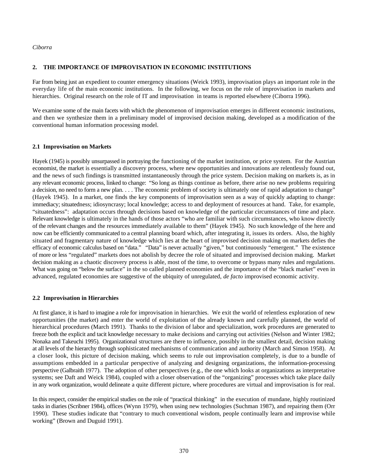## **2. THE IMPORTANCE OF IMPROVISATION IN ECONOMIC INSTITUTIONS**

Far from being just an expedient to counter emergency situations (Weick 1993), improvisation plays an important role in the everyday life of the main economic institutions. In the following, we focus on the role of improvisation in markets and hierarchies. Original research on the role of IT and improvisation in teams is reported elsewhere (Ciborra 1996).

We examine some of the main facets with which the phenomenon of improvisation emerges in different economic institutions, and then we synthesize them in a preliminary model of improvised decision making, developed as a modification of the conventional human information processing model.

#### **2.1 Improvisation on Markets**

Hayek (1945) is possibly unsurpassed in portraying the functioning of the market institution, or price system. For the Austrian economist, the market is essentially a discovery process, where new opportunities and innovations are relentlessly found out, and the news of such findings is transmitted instantaneously through the price system. Decision making on markets is, as in any relevant economic process, linked to change: "So long as things continue as before, there arise no new problems requiring a decision, no need to form a new plan. . . . The economic problem of society is ultimately one of rapid adaptation to change" (Hayek 1945). In a market, one finds the key components of improvisation seen as a way of quickly adapting to change: immediacy; situatedness; idiosyncrasy; local knowledge; access to and deployment of resources at hand. Take, for example, "situatedness": adaptation occurs through decisions based on knowledge of the particular circumstances of time and place. Relevant knowledge is ultimately in the hands of those actors "who are familiar with such circumstances, who know directly of the relevant changes and the resources immediately available to them" (Hayek 1945). No such knowledge of the here and now can be efficiently communicated to a central planning board which, after integrating it, issues its orders. Also, the highly situated and fragmentary nature of knowledge which lies at the heart of improvised decision making on markets defies the efficacy of economic calculus based on "data." "Data" is never actually "given," but continuously "emergent." The existence of more or less "regulated" markets does not abolish by decree the role of situated and improvised decision making. Market decision making as a chaotic discovery process is able, most of the time, to overcome or bypass many rules and regulations. What was going on "below the surface" in the so called planned economies and the importance of the "black market" even in advanced, regulated economies are suggestive of the ubiquity of unregulated, *de facto* improvised economic activity.

#### **2.2 Improvisation in Hierarchies**

At first glance, it is hard to imagine a role for improvisation in hierarchies. We exit the world of relentless exploration of new opportunities (the market) and enter the world of exploitation of the already known and carefully planned, the world of hierarchical procedures (March 1991). Thanks to the division of labor and specialization, work procedures are generated to freeze both the explicit and tacit knowledge necessary to make decisions and carrying out activities (Nelson and Winter 1982; Nonaka and Takeuchi 1995). Organizational structures are there to influence, possibly in the smallest detail, decision making at all levels of the hierarchy through sophisticated mechanisms of communication and authority (March and Simon 1958). At a closer look, this picture of decision making, which seems to rule out improvisation completely, is due to a bundle of assumptions embedded in a particular perspective of analyzing and designing organizations, the information-processing perspective (Galbraith 1977). The adoption of other perspectives (e.g., the one which looks at organizations as interpretative systems; see Daft and Weick 1984), coupled with a closer observation of the "organizing" processes which take place daily in any work organization, would delineate a quite different picture, where procedures are virtual and improvisation is for real.

In this respect, consider the empirical studies on the role of "practical thinking" in the execution of mundane, highly routinized tasks in diaries (Scribner 1984), offices (Wynn 1979), when using new technologies (Suchman 1987), and repairing them (Orr 1990). These studies indicate that "contrary to much conventional wisdom, people continually learn and improvise while working" (Brown and Duguid 1991).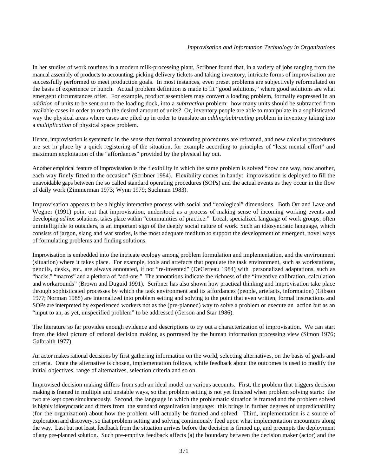In her studies of work routines in a modern milk-processing plant, Scribner found that, in a variety of jobs ranging from the manual assembly of products to accounting, picking delivery tickets and taking inventory, intricate forms of improvisation are successfully performed to meet production goals. In most instances, even preset problems are subjectively reformulated on the basis of experience or hunch. Actual problem definition is made to fit "good solutions," where good solutions are what emergent circumstances offer. For example, product assemblers may convert a loading problem, formally expressed in an *addition* of units to be sent out to the loading dock, into a *subtraction* problem: how many units should be subtracted from available cases in order to reach the desired amount of units? Or, inventory people are able to manipulate in a sophisticated way the physical areas where cases are piled up in order to translate an *adding/subtracting* problem in inventory taking into a *multiplication* of physical space problem.

Hence, improvisation is systematic in the sense that formal accounting procedures are reframed, and new calculus procedures are set in place by a quick registering of the situation, for example according to principles of "least mental effort" and maximum exploitation of the "affordances" provided by the physical lay out.

Another empirical feature of improvisation is the flexibility in which the same problem is solved "now one way, now another, each way finely fitted to the occasion" (Scribner 1984). Flexibility comes in handy: improvisation is deployed to fill the unavoidable gaps between the so called standard operating procedures (SOPs) and the actual events as they occur in the flow of daily work (Zimmerman 1973; Wynn 1979; Suchman 1983).

Improvisation appears to be a highly interactive process with social and "ecological" dimensions. Both Orr and Lave and Wegner (1991) point out that improvisation, understood as a process of making sense of incoming working events and developing *ad hoc* solutions, takes place within "communities of practice." Local, specialized language of work groups, often unintelligible to outsiders, is an important sign of the deeply social nature of work. Such an idiosyncratic language, which consists of jargon, slang and war stories, is the most adequate medium to support the development of emergent, novel ways of formulating problems and finding solutions.

Improvisation is embedded into the intricate ecology among problem formulation and implementation, and the environment (situation) where it takes place. For example, tools and artefacts that populate the task environment, such as workstations, pencils, desks, etc., are always annotated, if not "re-invented" (DeCerteau 1984) with personalized adaptations, such as "hacks," "macros" and a plethora of "add-ons." The annotations indicate the richness of the "inventive calibration, calculation and workarounds" (Brown and Duguid 1991). Scribner has also shown how practical thinking and improvisation take place through sophisticated processes by which the task environment and its affordances (people, artefacts, information) (Gibson 1977; Norman 1988) are internalized into problem setting and solving to the point that even written, formal instructions and SOPs are interpreted by experienced workers not as the (pre-planned) way to solve a problem or execute an action but as an "input to an, as yet, unspecified problem" to be addressed (Gerson and Star 1986).

The literature so far provides enough evidence and descriptions to try out a characterization of improvisation. We can start from the ideal picture of rational decision making as portrayed by the human information processing view (Simon 1976; Galbraith 1977).

An actor makes rational decisions by first gathering information on the world, selecting alternatives, on the basis of goals and criteria. Once the alternative is chosen, implementation follows, while feedback about the outcomes is used to modify the initial objectives, range of alternatives, selection criteria and so on.

Improvised decision making differs from such an ideal model on various accounts. First, the problem that triggers decision making is framed in multiple and unstable ways, so that problem setting is not yet finished when problem solving starts: the two are kept open simultaneously. Second, the language in which the problematic situation is framed and the problem solved is highly idiosyncratic and differs from the standard organization language: this brings in further degrees of unpredictability (for the organization) about how the problem will actually be framed and solved. Third, implementation is a source of exploration and discovery, so that problem setting and solving continuously feed upon what implementation encounters along the way. Last but not least, feedback from the situation arrives before the decision is firmed up, and preempts the deployment of any pre-planned solution. Such pre-emptive feedback affects (a) the boundary between the decision maker (actor) and the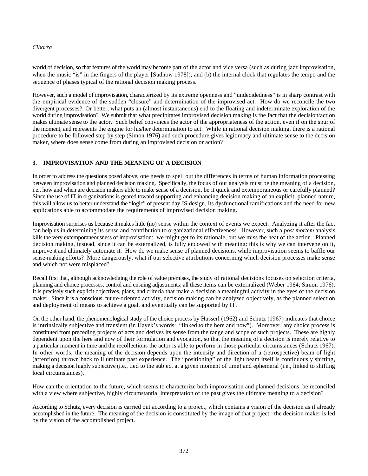world of decision, so that features of the world may become part of the actor and vice versa (such as during jazz improvisation, when the music "is" in the fingers of the player [Sudnow 1978]); and (b) the internal clock that regulates the tempo and the sequence of phases typical of the rational decision making process.

However, such a model of improvisation, characterized by its extreme openness and "undecidedness" is in sharp contrast with the empirical evidence of the sudden "closure" and determination of the improvised act. How do we reconcile the two divergent processes? Or better, what puts an (almost instantaneous) end to the floating and indeterminate exploration of the world during improvisation? We submit that what precipitates improvised decision making is the fact that the decision/action makes ultimate sense to the actor. Such belief convinces the actor of the appropriateness of the action, even if on the spur of the moment, and represents the engine for his/her determination to act. While in rational decision making, there is a rational procedure to be followed step by step (Simon 1976) and such procedure gives legitimacy and ultimate sense to the decision maker, where does sense come from during an improvised decision or action?

# **3. IMPROVISATION AND THE MEANING OF A DECISION**

In order to address the questions posed above, one needs to spell out the differences in terms of human information processing between improvisation and planned decision making. Specifically, the focus of our analysis must be the meaning of a decision, i.e., how and when are decision makers able to make sense of a decision, be it quick and extemporaneous or carefully planned? Since the use of IT in organizations is geared toward supporting and enhancing decision making of an explicit, planned nature, this will allow us to better understand the "logic" of present day IS design, its dysfunctional ramifications and the need for new applications able to accommodate the requirements of improvised decision making.

Improvisation surprises us because it makes little (no) sense within the context of events we expect. Analyzing it after the fact can help us in determining its sense and contribution to organizational effectiveness. However, such a *post mortem* analysis kills the very extemporaneousness of improvisation: we might get to its rationale, but we miss the heat of the action. Planned decision making, instead, since it can be externalized, is fully endowed with meaning: this is why we can intervene on it, improve it and ultimately automate it. How do we make sense of planned decisions, while improvisation seems to baffle our sense-making efforts? More dangerously, what if our selective attributions concerning which decision processes make sense and which not were misplaced?

Recall first that, although acknowledging the role of value premises, the study of rational decisions focuses on selection criteria, planning and choice processes, control and ensuing adjustments: all these items can be externalized (Weber 1964; Simon 1976). It is precisely such explicit objectives, plans, and criteria that make a decision a meaningful activity in the eyes of the decision maker. Since it is a conscious, future-oriented activity, decision making can be analyzed objectively, as the planned selection and deployment of means to achieve a goal, and eventually can be supported by IT.

On the other hand, the phenomenological study of the choice process by Husserl (1962) and Schutz (1967) indicates that choice is intrinsically subjective and transient (in Hayek's words: "linked to the here and now"). Moreover, any choice process is constituted from preceding projects of acts and derives its sense from the range and scope of such projects. These are highly dependent upon the here and now of their formulation and evocation, so that the meaning of a decision is merely relative to a particular moment in time and the recollections the actor is able to perform in those particular circumstances (Schutz 1967). In other words, the meaning of the decision depends upon the intensity and direction of a (retrospective) beam of light (attention) thrown back to illuminate past experience. The "positioning" of the light beam itself is continuously shifting, making a decision highly subjective (i.e., tied to the subject at a given moment of time) and ephemeral (i.e., linked to shifting local circumstances).

How can the orientation to the future, which seems to characterize both improvisation and planned decisions, be reconciled with a view where subjective, highly circumstantial interpretation of the past gives the ultimate meaning to a decision?

According to Schutz, every decision is carried out according to a project, which contains a vision of the decision as if already accomplished in the future. The meaning of the decision is constituted by the image of that project: the decision maker is led by the vision of the accomplished project.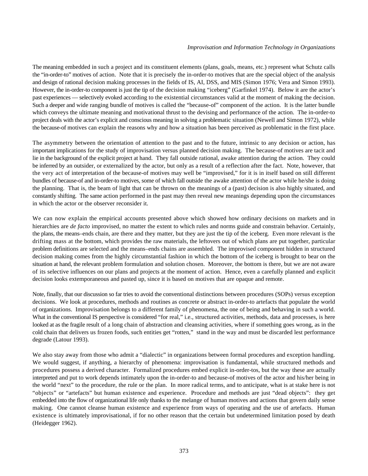The meaning embedded in such a project and its constituent elements (plans, goals, means, etc.) represent what Schutz calls the "in-order-to" motives of action. Note that it is precisely the in-order-to motives that are the special object of the analysis and design of rational decision making processes in the fields of IS, AI, DSS, and MIS (Simon 1976; Vera and Simon 1993). However, the in-order-to component is just the tip of the decision making "iceberg" (Garfinkel 1974). Below it are the actor's past experiences — selectively evoked according to the existential circumstances valid at the moment of making the decision. Such a deeper and wide ranging bundle of motives is called the "because-of" component of the action. It is the latter bundle which conveys the ultimate meaning and motivational thrust to the devising and performance of the action. The in-order-to project deals with the actor's explicit and conscious meaning in solving a problematic situation (Newell and Simon 1972), while the because-of motives can explain the reasons why and how a situation has been perceived as problematic in the first place.

The asymmetry between the orientation of attention to the past and to the future, intrinsic to any decision or action, has important implications for the study of improvisation versus planned decision making. The because-of motives are tacit and lie in the background of the explicit project at hand. They fall outside rational, awake attention during the action. They could be inferred by an outsider, or externalized by the actor, but only as a result of a reflection after the fact. Note, however, that the very act of interpretation of the because-of motives may well be "improvised," for it is in itself based on still different bundles of because-of and in-order-to motives, some of which fall outside the awake attention of the actor while he/she is doing the planning. That is, the beam of light that can be thrown on the meanings of a (past) decision is also highly situated, and constantly shifting. The same action performed in the past may then reveal new meanings depending upon the circumstances in which the actor or the observer reconsider it.

We can now explain the empirical accounts presented above which showed how ordinary decisions on markets and in hierarchies are *de facto* improvised, no matter the extent to which rules and norms guide and constrain behavior. Certainly, the plans, the means–ends chain, are there and they matter, but they are just the tip of the iceberg. Even more relevant is the drifting mass at the bottom, which provides the raw materials, the leftovers out of which plans are put together, particular problem definitions are selected and the means–ends chains are assembled. The improvised component hidden in structured decision making comes from the highly circumstantial fashion in which the bottom of the iceberg is brought to bear on the situation at hand, the relevant problem formulation and solution chosen. Moreover, the bottom is there, but we are not aware of its selective influences on our plans and projects at the moment of action. Hence, even a carefully planned and explicit decision looks extemporaneous and pasted up, since it is based on motives that are opaque and remote.

Note, finally, that our discussion so far tries to avoid the conventional distinctions between procedures (SOPs) versus exception decisions. We look at procedures, methods and routines as concrete or abstract in-order-to artefacts that populate the world of organizations. Improvisation belongs to a different family of phenomena, the one of being and behaving in such a world. What in the conventional IS perspective is considered "for real," i.e., structured activities, methods, data and processes, is here looked at as the fragile result of a long chain of abstraction and cleansing activities, where if something goes wrong, as in the cold chain that delivers us frozen foods, such entities get "rotten," stand in the way and must be discarded lest performance degrade (Latour 1993).

We also stay away from those who admit a "dialectic" in organizations between formal procedures and exception handling. We would suggest, if anything, a hierarchy of phenomena: improvisation is fundamental, while structured methods and procedures possess a derived character. Formalized procedures embed explicit in-order-tos, but the way these are actually interpreted and put to work depends intimately upon the in-order-to and because-of motives of the actor and his/her being in the world "next" to the procedure, the rule or the plan. In more radical terms, and to anticipate, what is at stake here is not "objects" or "artefacts" but human existence and experience. Procedure and methods are just "dead objects": they get embedded into the flow of organizational life only thanks to the melange of human motives and actions that govern daily sense making. One cannot cleanse human existence and experience from ways of operating and the use of artefacts. Human existence is ultimately improvisational, if for no other reason that the certain but undetermined limitation posed by death (Heidegger 1962).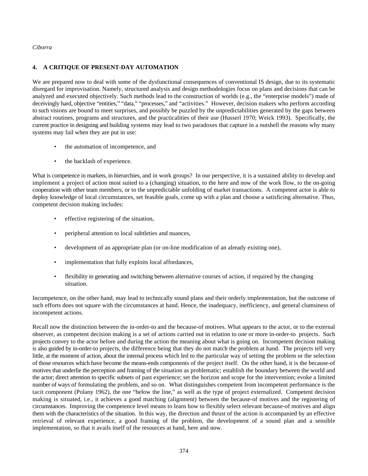# **4. A CRITIQUE OF PRESENT-DAY AUTOMATION**

We are prepared now to deal with some of the dysfunctional consequences of conventional IS design, due to its systematic disregard for improvisation. Namely, structured analysis and design methodologies focus on plans and decisions that can be analyzed and executed objectively. Such methods lead to the construction of worlds (e.g., the "enterprise models") made of deceivingly hard, objective "entities," "data," "processes," and "activities." However, decision makers who perform according to such visions are bound to meet surprises, and possibly be puzzled by the unpredictabilities generated by the gaps between abstract routines, programs and structures, and the practicalities of their use (Husserl 1970; Weick 1993). Specifically, the current practice in designing and building systems may lead to two paradoxes that capture in a nutshell the reasons why many systems may fail when they are put in use:

- the automation of incompetence, and
- the backlash of experience.

What is competence in markets, in hierarchies, and in work groups? In our perspective, it is a sustained ability to develop and implement a project of action most suited to a (changing) situation, to the here and now of the work flow, to the on-going cooperation with other team members, or to the unpredictable unfolding of market transactions. A competent actor is able to deploy knowledge of local circumstances, set feasible goals, come up with a plan and choose a satisficing alternative. Thus, competent decision making includes:

- effective registering of the situation,
- peripheral attention to local subtleties and nuances,
- development of an appropriate plan (or on-line modification of an already existing one),
- implementation that fully exploits local affordances,
- flexibility in generating and switching between alternative courses of action, if required by the changing situation.

Incompetence, on the other hand, may lead to technically sound plans and their orderly implementation, but the outcome of such efforts does not square with the circumstances at hand. Hence, the inadequacy, inefficiency, and general clumsiness of incompetent actions.

Recall now the distinction between the in-order-to and the because-of motives. What appears to the actor, or to the external observer, as competent decision making is a set of actions carried out in relation to one or more in-order-to projects. Such projects convey to the actor before and during the action the meaning about what is going on. Incompetent decision making is also guided by in-order-to projects, the difference being that they do not match the problem at hand. The projects tell very little, at the moment of action, about the internal process which led to the particular way of setting the problem or the selection of those resources which have become the means-ends components of the project itself. On the other hand, it is the because-of motives that underlie the perception and framing of the situation as problematic; establish the boundary between the world and the actor; direct attention to specific subsets of past experience; set the horizon and scope for the intervention; evoke a limited number of ways of formulating the problem, and so on. What distinguishes competent from incompetent performance is the tacit component (Polany 1962), the one "below the line," as well as the type of project externalized. Competent decision making is situated, i.e., it achieves a good matching (alignment) between the because-of motives and the registering of circumstances. Improving the competence level means to learn how to flexibly select relevant because-of motives and align them with the characteristics of the situation. In this way, the direction and thrust of the action is accompanied by an effective retrieval of relevant experience, a good framing of the problem, the development of a sound plan and a sensible implementation, so that it avails itself of the resources at hand, here and now.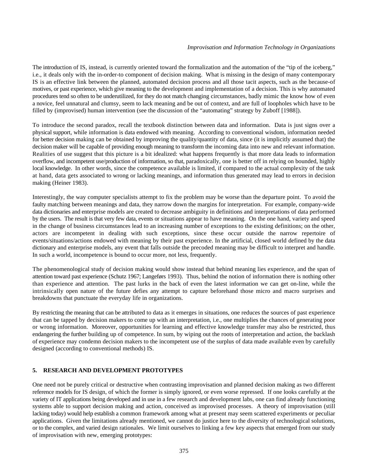The introduction of IS, instead, is currently oriented toward the formalization and the automation of the "tip of the iceberg," i.e., it deals only with the in-order-to component of decision making. What is missing in the design of many contemporary IS is an effective link between the planned, automated decision process and all those tacit aspects, such as the because-of motives, or past experience, which give meaning to the development and implementation of a decision. This is why automated procedures tend so often to be underutilized, for they do not match changing circumstances, badly mimic the know how of even a novice, feel unnatural and clumsy, seem to lack meaning and be out of context, and are full of loopholes which have to be filled by (improvised) human intervention (see the discussion of the "automating" strategy by Zuboff [1988]).

To introduce the second paradox, recall the textbook distinction between data and information. Data is just signs over a physical support, while information is data endowed with meaning. According to conventional wisdom, information needed for better decision making can be obtained by improving the quality/quantity of data, since (it is implicitly assumed that) the decision maker will be capable of providing enough meaning to transform the incoming data into new and relevant information. Realities of use suggest that this picture is a bit idealized: what happens frequently is that more data leads to information overflow, and incompetent use/production of information, so that, paradoxically, one is better off in relying on bounded, highly local knowledge. In other words, since the competence available is limited, if compared to the actual complexity of the task at hand, data gets associated to wrong or lacking meanings, and information thus generated may lead to errors in decision making (Heiner 1983).

Interestingly, the way computer specialists attempt to fix the problem may be worse than the departure point. To avoid the faulty matching between meanings and data, they narrow down the margins for interpretation. For example, company-wide data dictionaries and enterprise models are created to decrease ambiguity in definitions and interpretations of data performed by the users. The result is that very few data, events or situations appear to have meaning. On the one hand, variety and speed in the change of business circumstances lead to an increasing number of exceptions to the existing definitions; on the other, actors are incompetent in dealing with such exceptions, since these occur outside the narrow repertoire of events/situations/actions endowed with meaning by their past experience. In the artificial, closed world defined by the data dictionary and enterprise models, any event that falls outside the precoded meaning may be difficult to interpret and handle. In such a world, incompetence is bound to occur more, not less, frequently.

The phenomenological study of decision making would show instead that behind meaning lies experience, and the span of attention toward past experience (Schutz 1967; Langeførs 1993). Thus, behind the notion of information there is nothing other than experience and attention. The past lurks in the back of even the latest information we can get on-line, while the intrinsically open nature of the future defies any attempt to capture beforehand those micro and macro surprises and breakdowns that punctuate the everyday life in organizations.

By restricting the meaning that can be attributed to data as it emerges in situations, one reduces the sources of past experience that can be tapped by decision makers to come up with an interpretation, i.e., one multiplies the chances of generating poor or wrong information. Moreover, opportunities for learning and effective knowledge transfer may also be restricted, thus endangering the further building up of competence. In sum, by wiping out the roots of interpretation and action, the backlash of experience may condemn decision makers to the incompetent use of the surplus of data made available even by carefully designed (according to conventional methods) IS.

# **5. RESEARCH AND DEVELOPMENT PROTOTYPES**

One need not be purely critical or destructive when contrasting improvisation and planned decision making as two different reference models for IS design, of which the former is simply ignored, or even worse repressed. If one looks carefully at the variety of IT applications being developed and in use in a few research and development labs, one can find already functioning systems able to support decision making and action, conceived as improvised processes. A theory of improvisation (still lacking today) would help establish a common framework among what at present may seem scattered experiments or peculiar applications. Given the limitations already mentioned, we cannot do justice here to the diversity of technological solutions, or to the complex, and varied design rationales. We limit ourselves to linking a few key aspects that emerged from our study of improvisation with new, emerging prototypes: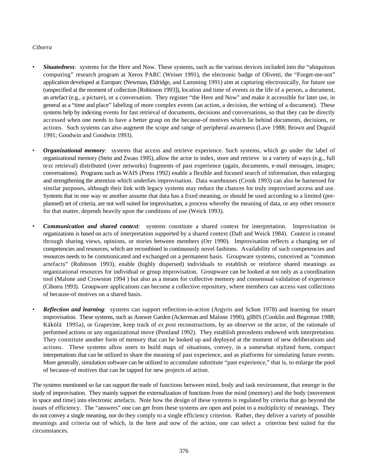#### *Ciborra*

- *Situatedness*: systems for the Here and Now. These systems, such as the various devices included into the "ubiquitous computing" research program at Xerox PARC (Weiser 1991), the electronic badge of Olivetti, the "Forget-me-not" application developed at Europarc (Newman, Eldridge, and Lamming 1991) aim at capturing electronically, for future use (unspecified at the moment of collection [Robinson 1993]), location and time of events in the life of a person, a document, an artefact (e.g., a picture), or a conversation. They register "the Here and Now" and make it accessible for later use, in general as a "time and place" labeling of more complex events (an action, a decision, the writing of a document). These systems help by indexing events for fast retrieval of documents, decisions and conversations, so that they can be directly accessed when one needs to have a better grasp on the because-of motives which lie behind documents, decisions, or actions. Such systems can also augment the scope and range of peripheral awareness (Lave 1988; Brown and Duguid 1991; Goodwin and Goodwin 1993).
- *Organizational memory*: systems that access and retrieve experience. Such systems, which go under the label of organizational memory (Stein and Zwass 1995), allow the actor to index, store and retrieve in a variety of ways (e.g., full text retrieval) distributed (over networks) fragments of past experience (again, documents, e-mail messages, images; conversations). Programs such as WAIS (Press 1992) enable a flexible and focused search of information, thus enlarging and strengthening the attention which underlies improvisation. Data warehouses (Cronk 1993) can also be harnessed for similar purposes, although their link with legacy systems may reduce the chances for truly improvised access and use. Systems that in one way or another assume that data has a fixed meaning, or should be used according to a limited (preplanned) set of criteria, are not well suited for improvisation, a process whereby the meaning of data, or any other resource for that matter, depends heavily upon the conditions of use (Weick 1993).
- *Communication and shared context*: systems constitute a shared context for interpretation. Improvisation in organizations is based on acts of interpretation supported by a shared context (Daft and Weick 1984). Context is created through sharing views, opinions, or stories between members (Orr 1990). Improvisation reflects a changing set of competencies and resources, which are recombined in continuously novel fashions. Availability of such competencies and resources needs to be communicated and exchanged on a permanent basis. Groupware systems, conceived as "common artefacts" (Robinson 1993), enable (highly dispersed) individuals to establish or reinforce shared meanings as organizational resources for individual or group improvisation. Groupware can be looked at not only as a coordination tool (Malone and Crowston 1994 ) but also as a means for collective memory and consensual validation of experience (Ciborra 1993). Groupware applications can become a collective repository, where members can access vast collections of because-of motives on a shared basis.
- *Reflection and learning*: systems can support reflection-in-action (Argyris and Schon 1978) and learning for smart improvisation. These systems, such as Answer Garden (Ackerman and Malone 1990), gIBIS (Conklin and Begeman 1988; Käkölä 1995a), or Grapevine, keep track of *ex post* reconstructions, by an observer or the actor, of the rationale of performed actions or any organizational move (Pentland 1992). They establish precedents endowed with interpretation. They constitute another form of memory that can be looked up and deployed at the moment of new deliberations and actions. These systems allow users to build maps of situations, convey, in a somewhat stylized form, compact interpretations that can be utilized to share the meaning of past experience, and as platforms for simulating future events. More generally, simulation software can be utilized to accumulate substitute "past experience," that is, to enlarge the pool of because-of motives that can be tapped for new projects of action.

The systems mentioned so far can support the trade of functions between mind, body and task environment, that emerge in the study of improvisation. They mainly support the externalization of functions from the mind (memory) and the body (movement in space and time) into electronic artefacts. Note how the design of these systems is regulated by criteria that go beyond the issues of efficiency. The "answers" one can get from these systems are open and point to a multiplicity of meanings. They do not convey a single meaning, nor do they comply to a single efficiency criterion. Rather, they deliver a variety of possible meanings and criteria out of which, in the here and now of the action, one can select a criterion best suited for the circumstances.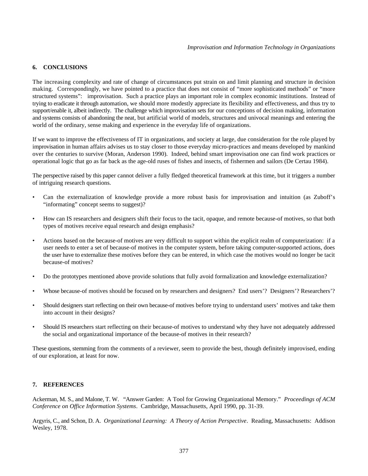# **6. CONCLUSIONS**

The increasing complexity and rate of change of circumstances put strain on and limit planning and structure in decision making. Correspondingly, we have pointed to a practice that does not consist of "more sophisticated methods" or "more structured systems": improvisation. Such a practice plays an important role in complex economic institutions. Instead of trying to eradicate it through automation, we should more modestly appreciate its flexibility and effectiveness, and thus try to support/enable it, albeit indirectly. The challenge which improvisation sets for our conceptions of decision making, information and systems consists of abandoning the neat, but artificial world of models, structures and univocal meanings and entering the world of the ordinary, sense making and experience in the everyday life of organizations.

If we want to improve the effectiveness of IT in organizations, and society at large, due consideration for the role played by improvisation in human affairs advises us to stay closer to those everyday micro-practices and means developed by mankind over the centuries to survive (Moran, Anderson 1990). Indeed, behind smart improvisation one can find work practices or operational logic that go as far back as the age-old ruses of fishes and insects, of fishermen and sailors (De Certau 1984).

The perspective raised by this paper cannot deliver a fully fledged theoretical framework at this time, but it triggers a number of intriguing research questions.

- Can the externalization of knowledge provide a more robust basis for improvisation and intuition (as Zuboff's "informating" concept seems to suggest)?
- How can IS researchers and designers shift their focus to the tacit, opaque, and remote because-of motives, so that both types of motives receive equal research and design emphasis?
- Actions based on the because-of motives are very difficult to support within the explicit realm of computerization: if a user needs to enter a set of because-of motives in the computer system, before taking computer-supported actions, does the user have to externalize these motives before they can be entered, in which case the motives would no longer be tacit because-of motives?
- Do the prototypes mentioned above provide solutions that fully avoid formalization and knowledge externalization?
- Whose because-of motives should be focused on by researchers and designers? End users'? Designers'? Researchers'?
- Should designers start reflecting on their own because-of motives before trying to understand users' motives and take them into account in their designs?
- Should IS researchers start reflecting on their because-of motives to understand why they have not adequately addressed the social and organizational importance of the because-of motives in their research?

These questions, stemming from the comments of a reviewer, seem to provide the best, though definitely improvised, ending of our exploration, at least for now.

#### **7. REFERENCES**

Ackerman, M. S., and Malone, T. W. "Answer Garden: A Tool for Growing Organizational Memory." *Proceedings of ACM Conference on Office Information Systems*. Cambridge, Massachusetts, April 1990, pp. 31-39.

Argyris, C., and Schon, D. A. *Organizational Learning: A Theory of Action Perspective*. Reading, Massachusetts: Addison Wesley, 1978.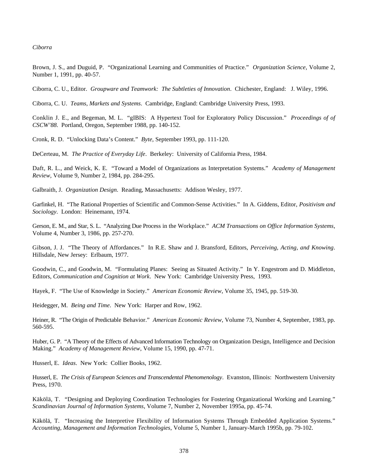Brown, J. S., and Duguid, P. "Organizational Learning and Communities of Practice." *Organization Science*, Volume 2, Number 1, 1991, pp. 40-57.

Ciborra, C. U., Editor. *Groupware and Teamwork: The Subtleties of Innovation*. Chichester, England: J. Wiley, 1996.

Ciborra, C. U. *Teams, Markets and Systems*. Cambridge, England: Cambridge University Press, 1993.

Conklin J. E., and Begeman, M. L. "gIBIS: A Hypertext Tool for Exploratory Policy Discussion." *Proceedings of of CSCW'88*. Portland, Oregon, September 1988, pp. 140-152.

Cronk, R. D. "Unlocking Data's Content." *Byte*, September 1993, pp. 111-120.

DeCerteau, M. *The Practice of Everyday Life*. Berkeley: University of California Press, 1984.

Daft, R. L., and Weick, K. E. "Toward a Model of Organizations as Interpretation Systems." *Academy of Management Review*, Volume 9, Number 2, 1984, pp. 284-295.

Galbraith, J. *Organization Design*. Reading, Massachusetts: Addison Wesley, 1977.

Garfinkel, H. "The Rational Properties of Scientific and Common-Sense Activities." In A. Giddens, Editor, *Positivism and Sociology*. London: Heinemann, 1974.

Gerson, E. M., and Star, S. L. "Analyzing Due Process in the Workplace." *ACM Transactions on Office Information Systems*, Volume 4, Number 3, 1986, pp. 257-270.

Gibson, J. J. "The Theory of Affordances." In R.E. Shaw and J. Bransford, Editors, *Perceiving, Acting, and Knowing*. Hillsdale, New Jersey: Erlbaum, 1977.

Goodwin, C., and Goodwin, M. "Formulating Planes: Seeing as Situated Activity." In Y. Engestrom and D. Middleton, Editors, *Communication and Cognition at Work*. New York: Cambridge University Press, 1993.

Hayek, F. "The Use of Knowledge in Society." *American Economic Review*, Volume 35, 1945, pp. 519-30.

Heidegger, M. *Being and Time*. New York: Harper and Row, 1962.

Heiner, R. "The Origin of Predictable Behavior." *American Economic Review*, Volume 73, Number 4, September, 1983, pp. 560-595.

Huber, G. P. "A Theory of the Effects of Advanced Information Technology on Organization Design, Intelligence and Decision Making." *Academy of Management Review*, Volume 15, 1990, pp. 47-71.

Husserl, E. *Ideas*. New York: Collier Books, 1962.

Husserl, E. *The Crisis of European Sciences and Transcendental Phenomenology*. Evanston, Illinois: Northwestern University Press, 1970.

Käkölä, T. "Designing and Deploying Coordination Technologies for Fostering Organizational Working and Learning." *Scandinavian Journal of Information Systems*, Volume 7, Number 2, November 1995a, pp. 45-74.

Käkölä, T. "Increasing the Interpretive Flexibility of Information Systems Through Embedded Application Systems." *Accounting, Management and Information Technologies*, Volume 5, Number 1, January-March 1995b, pp. 79-102.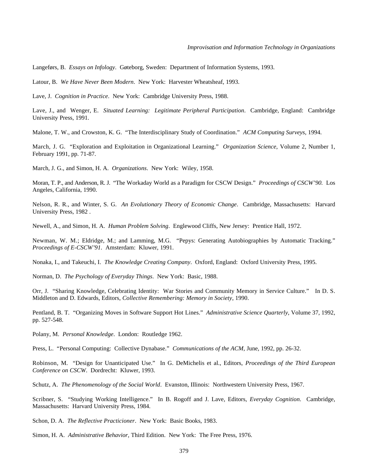Langeførs, B. *Essays on Infology*. Gøteborg, Sweden: Department of Information Systems, 1993.

Latour, B. *We Have Never Been Modern*. New York: Harvester Wheatsheaf, 1993.

Lave, J. *Cognition in Practice*. New York: Cambridge University Press, 1988.

Lave, J., and Wenger, E. *Situated Learning: Legitimate Peripheral Participation*. Cambridge, England: Cambridge University Press, 1991.

Malone, T. W., and Crowston, K. G. "The Interdisciplinary Study of Coordination." *ACM Computing Surveys*, 1994.

March, J. G. "Exploration and Exploitation in Organizational Learning." *Organization Science*, Volume 2, Number 1, February 1991, pp. 71-87.

March, J. G., and Simon, H. A. *Organizations*. New York: Wiley, 1958.

Moran, T. P., and Anderson, R. J. "The Workaday World as a Paradigm for CSCW Design." *Proceedings of CSCW'90.* Los Angeles, California, 1990.

Nelson, R. R., and Winter, S. G. *An Evolutionary Theory of Economic Change*. Cambridge, Massachusetts: Harvard University Press, 1982 .

Newell, A., and Simon, H. A. *Human Problem Solving*. Englewood Cliffs, New Jersey: Prentice Hall, 1972.

Newman, W. M.; Eldridge, M.; and Lamming, M.G. "Pepys: Generating Autobiographies by Automatic Tracking." *Proceedings of E-CSCW'91*. Amsterdam: Kluwer, 1991.

Nonaka, I., and Takeuchi, I. *The Knowledge Creating Company*. Oxford, England: Oxford University Press, 1995.

Norman, D. *The Psychology of Everyday Things*. New York: Basic, 1988.

Orr, J. "Sharing Knowledge, Celebrating Identity: War Stories and Community Memory in Service Culture." In D. S. Middleton and D. Edwards, Editors, *Collective Remembering: Memory in Society*, 1990.

Pentland, B. T. "Organizing Moves in Software Support Hot Lines." *Administrative Science Quarterly*, Volume 37, 1992, pp. 527-548.

Polany, M. *Personal Knowledge*. London: Routledge 1962.

Press, L. "Personal Computing: Collective Dynabase." *Communications of the ACM*, June, 1992, pp. 26-32.

Robinson, M. "Design for Unanticipated Use." In G. DeMichelis et al., Editors, *Proceedings of the Third European Conference on CSCW*. Dordrecht: Kluwer, 1993.

Schutz, A. *The Phenomenology of the Social World*. Evanston, Illinois: Northwestern University Press, 1967.

Scribner, S. "Studying Working Intelligence." In B. Rogoff and J. Lave, Editors, *Everyday Cognition*. Cambridge, Massachusetts: Harvard University Press, 1984.

Schon, D. A. *The Reflective Practicioner*. New York: Basic Books, 1983.

Simon, H. A. *Administrative Behavior,* Third Edition. New York: The Free Press, 1976.